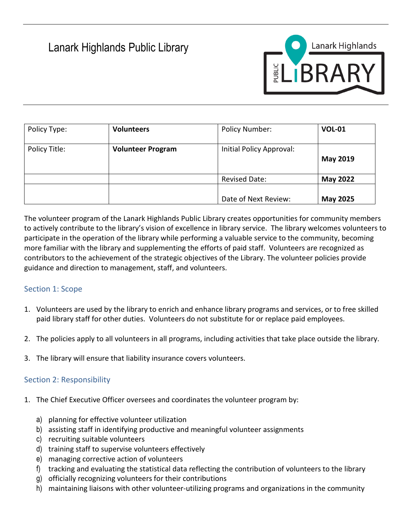# Lanark Highlands Public Library



| Policy Type:  | <b>Volunteers</b>        | Policy Number:           | <b>VOL-01</b>   |
|---------------|--------------------------|--------------------------|-----------------|
| Policy Title: | <b>Volunteer Program</b> | Initial Policy Approval: | <b>May 2019</b> |
|               |                          | <b>Revised Date:</b>     | <b>May 2022</b> |
|               |                          | Date of Next Review:     | <b>May 2025</b> |

The volunteer program of the Lanark Highlands Public Library creates opportunities for community members to actively contribute to the library's vision of excellence in library service. The library welcomes volunteers to participate in the operation of the library while performing a valuable service to the community, becoming more familiar with the library and supplementing the efforts of paid staff. Volunteers are recognized as contributors to the achievement of the strategic objectives of the Library. The volunteer policies provide guidance and direction to management, staff, and volunteers.

# Section 1: Scope

- 1. Volunteers are used by the library to enrich and enhance library programs and services, or to free skilled paid library staff for other duties. Volunteers do not substitute for or replace paid employees.
- 2. The policies apply to all volunteers in all programs, including activities that take place outside the library.
- 3. The library will ensure that liability insurance covers volunteers.

# Section 2: Responsibility

- 1. The Chief Executive Officer oversees and coordinates the volunteer program by:
	- a) planning for effective volunteer utilization
	- b) assisting staff in identifying productive and meaningful volunteer assignments
	- c) recruiting suitable volunteers
	- d) training staff to supervise volunteers effectively
	- e) managing corrective action of volunteers
	- f) tracking and evaluating the statistical data reflecting the contribution of volunteers to the library
	- g) officially recognizing volunteers for their contributions
	- h) maintaining liaisons with other volunteer-utilizing programs and organizations in the community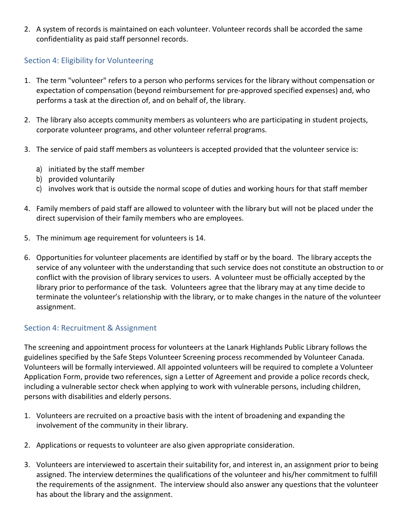2. A system of records is maintained on each volunteer. Volunteer records shall be accorded the same confidentiality as paid staff personnel records.

# Section 4: Eligibility for Volunteering

- 1. The term "volunteer" refers to a person who performs services for the library without compensation or expectation of compensation (beyond reimbursement for pre-approved specified expenses) and, who performs a task at the direction of, and on behalf of, the library.
- 2. The library also accepts community members as volunteers who are participating in student projects, corporate volunteer programs, and other volunteer referral programs.
- 3. The service of paid staff members as volunteers is accepted provided that the volunteer service is:
	- a) initiated by the staff member
	- b) provided voluntarily
	- c) involves work that is outside the normal scope of duties and working hours for that staff member
- 4. Family members of paid staff are allowed to volunteer with the library but will not be placed under the direct supervision of their family members who are employees.
- 5. The minimum age requirement for volunteers is 14.
- 6. Opportunities for volunteer placements are identified by staff or by the board. The library accepts the service of any volunteer with the understanding that such service does not constitute an obstruction to or conflict with the provision of library services to users. A volunteer must be officially accepted by the library prior to performance of the task. Volunteers agree that the library may at any time decide to terminate the volunteer's relationship with the library, or to make changes in the nature of the volunteer assignment.

# Section 4: Recruitment & Assignment

The screening and appointment process for volunteers at the Lanark Highlands Public Library follows the guidelines specified by the Safe Steps Volunteer Screening process recommended by Volunteer Canada. Volunteers will be formally interviewed. All appointed volunteers will be required to complete a Volunteer Application Form, provide two references, sign a Letter of Agreement and provide a police records check, including a vulnerable sector check when applying to work with vulnerable persons, including children, persons with disabilities and elderly persons.

- 1. Volunteers are recruited on a proactive basis with the intent of broadening and expanding the involvement of the community in their library.
- 2. Applications or requests to volunteer are also given appropriate consideration.
- 3. Volunteers are interviewed to ascertain their suitability for, and interest in, an assignment prior to being assigned. The interview determines the qualifications of the volunteer and his/her commitment to fulfill the requirements of the assignment. The interview should also answer any questions that the volunteer has about the library and the assignment.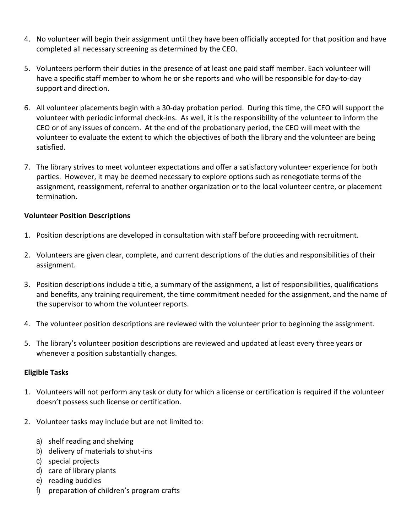- 4. No volunteer will begin their assignment until they have been officially accepted for that position and have completed all necessary screening as determined by the CEO.
- 5. Volunteers perform their duties in the presence of at least one paid staff member. Each volunteer will have a specific staff member to whom he or she reports and who will be responsible for day-to-day support and direction.
- 6. All volunteer placements begin with a 30-day probation period. During this time, the CEO will support the volunteer with periodic informal check-ins. As well, it is the responsibility of the volunteer to inform the CEO or of any issues of concern. At the end of the probationary period, the CEO will meet with the volunteer to evaluate the extent to which the objectives of both the library and the volunteer are being satisfied.
- 7. The library strives to meet volunteer expectations and offer a satisfactory volunteer experience for both parties. However, it may be deemed necessary to explore options such as renegotiate terms of the assignment, reassignment, referral to another organization or to the local volunteer centre, or placement termination.

#### **Volunteer Position Descriptions**

- 1. Position descriptions are developed in consultation with staff before proceeding with recruitment.
- 2. Volunteers are given clear, complete, and current descriptions of the duties and responsibilities of their assignment.
- 3. Position descriptions include a title, a summary of the assignment, a list of responsibilities, qualifications and benefits, any training requirement, the time commitment needed for the assignment, and the name of the supervisor to whom the volunteer reports.
- 4. The volunteer position descriptions are reviewed with the volunteer prior to beginning the assignment.
- 5. The library's volunteer position descriptions are reviewed and updated at least every three years or whenever a position substantially changes.

#### **Eligible Tasks**

- 1. Volunteers will not perform any task or duty for which a license or certification is required if the volunteer doesn't possess such license or certification.
- 2. Volunteer tasks may include but are not limited to:
	- a) shelf reading and shelving
	- b) delivery of materials to shut-ins
	- c) special projects
	- d) care of library plants
	- e) reading buddies
	- f) preparation of children's program crafts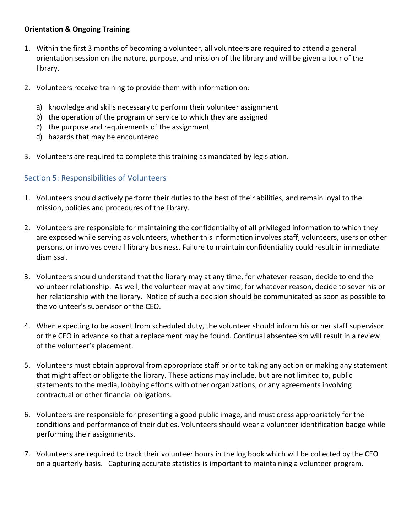#### **Orientation & Ongoing Training**

- 1. Within the first 3 months of becoming a volunteer, all volunteers are required to attend a general orientation session on the nature, purpose, and mission of the library and will be given a tour of the library.
- 2. Volunteers receive training to provide them with information on:
	- a) knowledge and skills necessary to perform their volunteer assignment
	- b) the operation of the program or service to which they are assigned
	- c) the purpose and requirements of the assignment
	- d) hazards that may be encountered
- 3. Volunteers are required to complete this training as mandated by legislation.

### Section 5: Responsibilities of Volunteers

- 1. Volunteers should actively perform their duties to the best of their abilities, and remain loyal to the mission, policies and procedures of the library.
- 2. Volunteers are responsible for maintaining the confidentiality of all privileged information to which they are exposed while serving as volunteers, whether this information involves staff, volunteers, users or other persons, or involves overall library business. Failure to maintain confidentiality could result in immediate dismissal.
- 3. Volunteers should understand that the library may at any time, for whatever reason, decide to end the volunteer relationship. As well, the volunteer may at any time, for whatever reason, decide to sever his or her relationship with the library. Notice of such a decision should be communicated as soon as possible to the volunteer's supervisor or the CEO.
- 4. When expecting to be absent from scheduled duty, the volunteer should inform his or her staff supervisor or the CEO in advance so that a replacement may be found. Continual absenteeism will result in a review of the volunteer's placement.
- 5. Volunteers must obtain approval from appropriate staff prior to taking any action or making any statement that might affect or obligate the library. These actions may include, but are not limited to, public statements to the media, lobbying efforts with other organizations, or any agreements involving contractual or other financial obligations.
- 6. Volunteers are responsible for presenting a good public image, and must dress appropriately for the conditions and performance of their duties. Volunteers should wear a volunteer identification badge while performing their assignments.
- 7. Volunteers are required to track their volunteer hours in the log book which will be collected by the CEO on a quarterly basis. Capturing accurate statistics is important to maintaining a volunteer program.